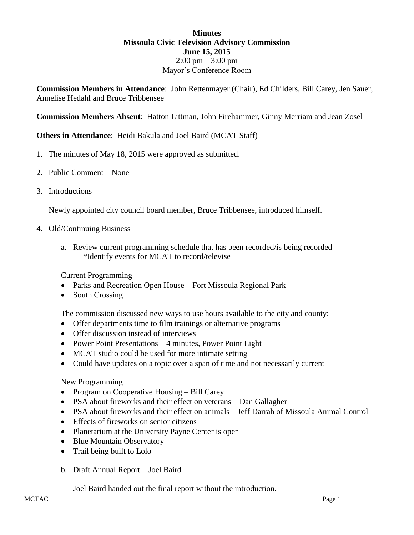## **Minutes Missoula Civic Television Advisory Commission June 15, 2015**  $2:00 \text{ pm} - 3:00 \text{ pm}$ Mayor's Conference Room

**Commission Members in Attendance**: John Rettenmayer (Chair), Ed Childers, Bill Carey, Jen Sauer, Annelise Hedahl and Bruce Tribbensee

**Commission Members Absent**: Hatton Littman, John Firehammer, Ginny Merriam and Jean Zosel

# **Others in Attendance**: Heidi Bakula and Joel Baird (MCAT Staff)

- 1. The minutes of May 18, 2015 were approved as submitted.
- 2. Public Comment None
- 3. Introductions

Newly appointed city council board member, Bruce Tribbensee, introduced himself.

- 4. Old/Continuing Business
	- a. Review current programming schedule that has been recorded/is being recorded \*Identify events for MCAT to record/televise

#### Current Programming

- Parks and Recreation Open House Fort Missoula Regional Park
- South Crossing

The commission discussed new ways to use hours available to the city and county:

- Offer departments time to film trainings or alternative programs
- Offer discussion instead of interviews
- Power Point Presentations 4 minutes, Power Point Light
- MCAT studio could be used for more intimate setting
- Could have updates on a topic over a span of time and not necessarily current

#### New Programming

- Program on Cooperative Housing Bill Carey
- PSA about fireworks and their effect on veterans Dan Gallagher
- PSA about fireworks and their effect on animals Jeff Darrah of Missoula Animal Control
- Effects of fireworks on senior citizens
- Planetarium at the University Payne Center is open
- Blue Mountain Observatory
- Trail being built to Lolo
- b. Draft Annual Report Joel Baird

Joel Baird handed out the final report without the introduction.